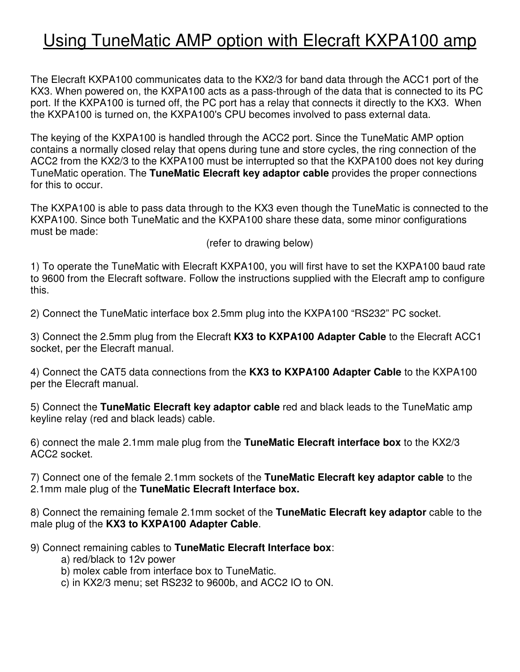## Using TuneMatic AMP option with Elecraft KXPA100 amp

The Elecraft KXPA100 communicates data to the KX2/3 for band data through the ACC1 port of the KX3. When powered on, the KXPA100 acts as a pass-through of the data that is connected to its PC port. If the KXPA100 is turned off, the PC port has a relay that connects it directly to the KX3. When the KXPA100 is turned on, the KXPA100's CPU becomes involved to pass external data.

The keying of the KXPA100 is handled through the ACC2 port. Since the TuneMatic AMP option contains a normally closed relay that opens during tune and store cycles, the ring connection of the ACC2 from the KX2/3 to the KXPA100 must be interrupted so that the KXPA100 does not key during TuneMatic operation. The **TuneMatic Elecraft key adaptor cable** provides the proper connections for this to occur.

The KXPA100 is able to pass data through to the KX3 even though the TuneMatic is connected to the KXPA100. Since both TuneMatic and the KXPA100 share these data, some minor configurations must be made:

(refer to drawing below)

1) To operate the TuneMatic with Elecraft KXPA100, you will first have to set the KXPA100 baud rate to 9600 from the Elecraft software. Follow the instructions supplied with the Elecraft amp to configure this.

2) Connect the TuneMatic interface box 2.5mm plug into the KXPA100 "RS232" PC socket.

3) Connect the 2.5mm plug from the Elecraft **KX3 to KXPA100 Adapter Cable** to the Elecraft ACC1 socket, per the Elecraft manual.

4) Connect the CAT5 data connections from the **KX3 to KXPA100 Adapter Cable** to the KXPA100 per the Elecraft manual.

5) Connect the **TuneMatic Elecraft key adaptor cable** red and black leads to the TuneMatic amp keyline relay (red and black leads) cable.

6) connect the male 2.1mm male plug from the **TuneMatic Elecraft interface box** to the KX2/3 ACC2 socket.

7) Connect one of the female 2.1mm sockets of the **TuneMatic Elecraft key adaptor cable** to the 2.1mm male plug of the **TuneMatic Elecraft Interface box.** 

8) Connect the remaining female 2.1mm socket of the **TuneMatic Elecraft key adaptor** cable to the male plug of the **KX3 to KXPA100 Adapter Cable**.

9) Connect remaining cables to **TuneMatic Elecraft Interface box**:

- a) red/black to 12v power
- b) molex cable from interface box to TuneMatic.
- c) in KX2/3 menu; set RS232 to 9600b, and ACC2 IO to ON.